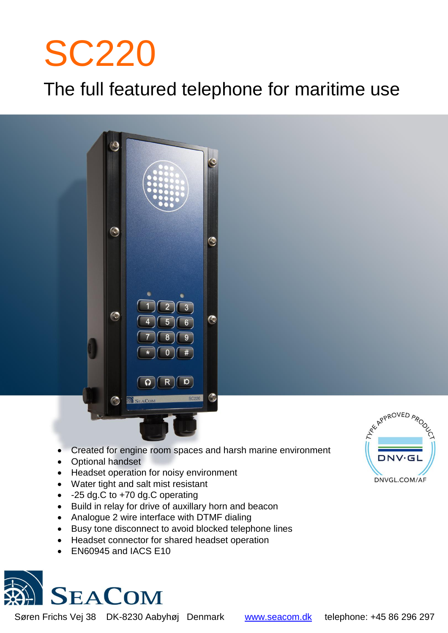# SC220

í

## The full featured telephone for maritime use



- Created for engine room spaces and harsh marine environment
- Optional handset
- Headset operation for noisy environment
- Water tight and salt mist resistant
- -25 dg.C to +70 dg.C operating
- Build in relay for drive of auxillary horn and beacon
- Analogue 2 wire interface with DTMF dialing
- Busy tone disconnect to avoid blocked telephone lines
- Headset connector for shared headset operation
- EN60945 and IACS E10



Søren Frichs Vej 38 DK-8230 Aabyhøj Denmark [www.seacom.dk](http://www.seacom.dk/) telephone: +45 86 296 297